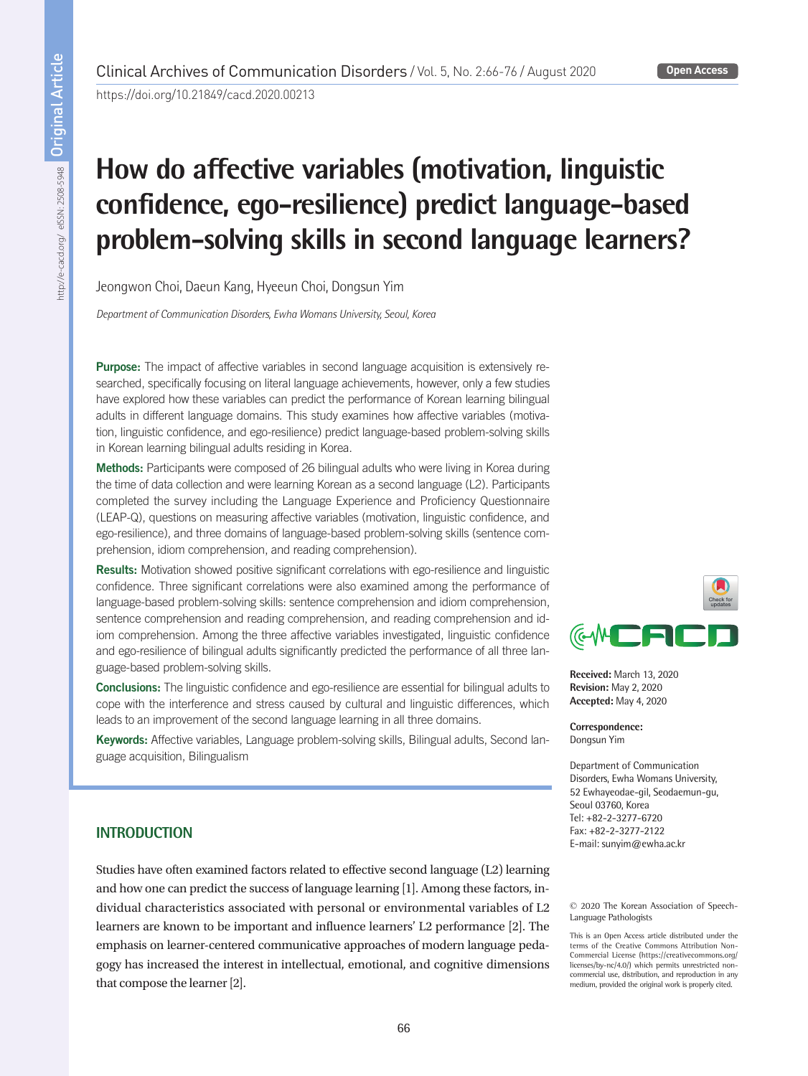https://doi.org/10.21849/cacd.2020.00213

# **How do affective variables (motivation, linguistic confidence, ego-resilience) predict language-based problem-solving skills in second language learners?**

Jeongwon Choi, Daeun Kang, Hyeeun Choi, Dongsun Yim

*Department of Communication Disorders, Ewha Womans University, Seoul, Korea*

Purpose: The impact of affective variables in second language acquisition is extensively researched, specifically focusing on literal language achievements, however, only a few studies have explored how these variables can predict the performance of Korean learning bilingual adults in different language domains. This study examines how affective variables (motivation, linguistic confidence, and ego-resilience) predict language-based problem-solving skills in Korean learning bilingual adults residing in Korea.

Methods: Participants were composed of 26 bilingual adults who were living in Korea during the time of data collection and were learning Korean as a second language (L2). Participants completed the survey including the Language Experience and Proficiency Questionnaire (LEAP-Q), questions on measuring affective variables (motivation, linguistic confidence, and ego-resilience), and three domains of language-based problem-solving skills (sentence comprehension, idiom comprehension, and reading comprehension).

Results: Motivation showed positive significant correlations with ego-resilience and linguistic confidence. Three significant correlations were also examined among the performance of language-based problem-solving skills: sentence comprehension and idiom comprehension, sentence comprehension and reading comprehension, and reading comprehension and idiom comprehension. Among the three affective variables investigated, linguistic confidence and ego-resilience of bilingual adults significantly predicted the performance of all three language-based problem-solving skills.

Conclusions: The linguistic confidence and ego-resilience are essential for bilingual adults to cope with the interference and stress caused by cultural and linguistic differences, which leads to an improvement of the second language learning in all three domains.

Keywords: Affective variables, Language problem-solving skills, Bilingual adults, Second language acquisition, Bilingualism



**Received:** March 13, 2020 **Revision:** May 2, 2020 **Accepted:** May 4, 2020

**Correspondence:** Dongsun Yim

Department of Communication Disorders, Ewha Womans University, 52 Ewhayeodae-gil, Seodaemun-gu, Seoul 03760, Korea Tel: +82-2-3277-6720 Fax: +82-2-3277-2122 E-mail: sunyim@ewha.ac.kr

## **INTRODUCTION**

Studies have often examined factors related to effective second language (L2) learning and how one can predict the success of language learning [1]. Among these factors, individual characteristics associated with personal or environmental variables of L2 learners are known to be important and influence learners' L2 performance [2]. The emphasis on learner-centered communicative approaches of modern language pedagogy has increased the interest in intellectual, emotional, and cognitive dimensions that compose the learner [2].

© 2020 The Korean Association of Speech-Language Pathologists

This is an Open Access article distributed under the terms of the Creative Commons Attribution Non-Commercial License (https://creativecommons.org/ licenses/by-nc/4.0/) which permits unrestricted noncommercial use, distribution, and reproduction in any medium, provided the original work is properly cited.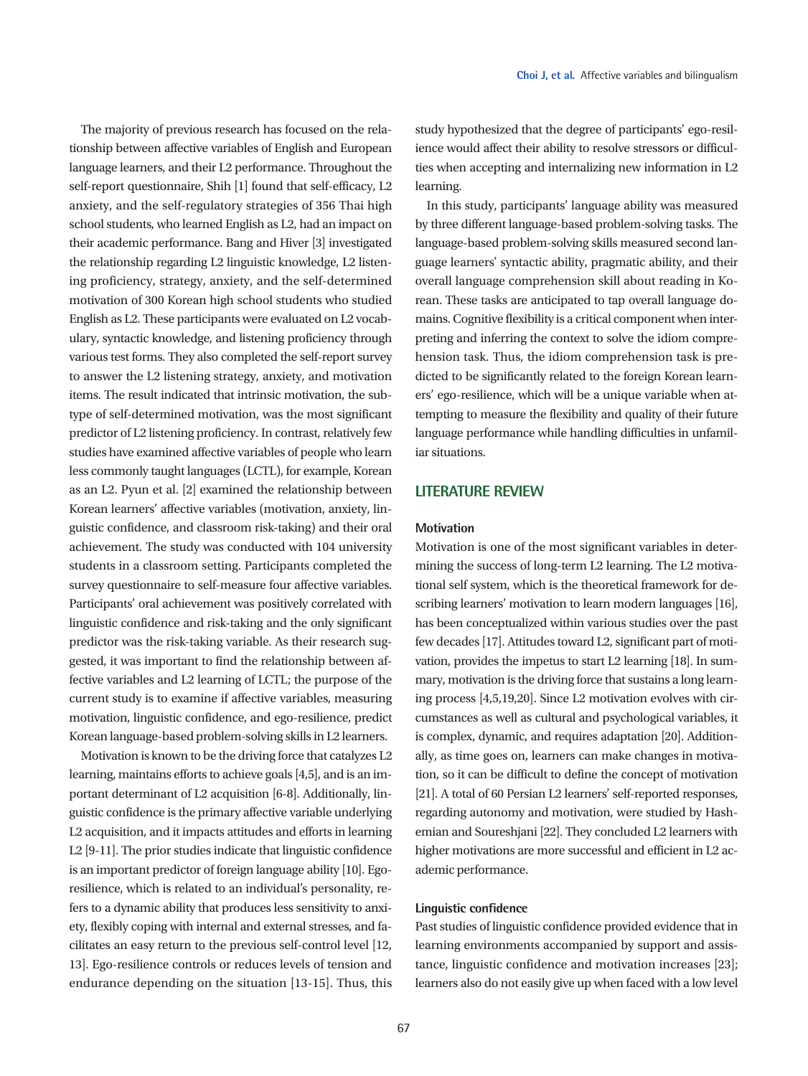The majority of previous research has focused on the relationship between affective variables of English and European language learners, and their L2 performance. Throughout the self-report questionnaire, Shih [1] found that self-efficacy, L2 anxiety, and the self-regulatory strategies of 356 Thai high school students, who learned English as L2, had an impact on their academic performance. Bang and Hiver [3] investigated the relationship regarding L2 linguistic knowledge, L2 listening proficiency, strategy, anxiety, and the self-determined motivation of 300 Korean high school students who studied English as L2. These participants were evaluated on L2 vocabulary, syntactic knowledge, and listening proficiency through various test forms. They also completed the self-report survey to answer the L2 listening strategy, anxiety, and motivation items. The result indicated that intrinsic motivation, the subtype of self-determined motivation, was the most significant predictor of L2 listening proficiency. In contrast, relatively few studies have examined affective variables of people who learn less commonly taught languages (LCTL), for example, Korean as an L2. Pyun et al. [2] examined the relationship between Korean learners' affective variables (motivation, anxiety, linguistic confidence, and classroom risk-taking) and their oral achievement. The study was conducted with 104 university students in a classroom setting. Participants completed the survey questionnaire to self-measure four affective variables. Participants' oral achievement was positively correlated with linguistic confidence and risk-taking and the only significant predictor was the risk-taking variable. As their research suggested, it was important to find the relationship between affective variables and L2 learning of LCTL; the purpose of the current study is to examine if affective variables, measuring motivation, linguistic confidence, and ego-resilience, predict Korean language-based problem-solving skills in L2 learners.

Motivation is known to be the driving force that catalyzes L2 learning, maintains efforts to achieve goals [4,5], and is an important determinant of L2 acquisition [6-8]. Additionally, linguistic confidence is the primary affective variable underlying L2 acquisition, and it impacts attitudes and efforts in learning L2 [9-11]. The prior studies indicate that linguistic confidence is an important predictor of foreign language ability [10]. Egoresilience, which is related to an individual's personality, refers to a dynamic ability that produces less sensitivity to anxiety, flexibly coping with internal and external stresses, and facilitates an easy return to the previous self-control level [12, 13]. Ego-resilience controls or reduces levels of tension and endurance depending on the situation [13-15]. Thus, this

study hypothesized that the degree of participants' ego-resilience would affect their ability to resolve stressors or difficulties when accepting and internalizing new information in L2 learning.

In this study, participants' language ability was measured by three different language-based problem-solving tasks. The language-based problem-solving skills measured second language learners' syntactic ability, pragmatic ability, and their overall language comprehension skill about reading in Korean. These tasks are anticipated to tap overall language domains. Cognitive flexibility is a critical component when interpreting and inferring the context to solve the idiom comprehension task. Thus, the idiom comprehension task is predicted to be significantly related to the foreign Korean learners' ego-resilience, which will be a unique variable when attempting to measure the flexibility and quality of their future language performance while handling difficulties in unfamiliar situations.

## **LITERATURE REVIEW**

#### **Motivation**

Motivation is one of the most significant variables in determining the success of long-term L2 learning. The L2 motivational self system, which is the theoretical framework for describing learners' motivation to learn modern languages [16], has been conceptualized within various studies over the past few decades [17]. Attitudes toward L2, significant part of motivation, provides the impetus to start L2 learning [18]. In summary, motivation is the driving force that sustains a long learning process [4,5,19,20]. Since L2 motivation evolves with circumstances as well as cultural and psychological variables, it is complex, dynamic, and requires adaptation [20]. Additionally, as time goes on, learners can make changes in motivation, so it can be difficult to define the concept of motivation [21]. A total of 60 Persian L2 learners' self-reported responses, regarding autonomy and motivation, were studied by Hashemian and Soureshjani [22]. They concluded L2 learners with higher motivations are more successful and efficient in L2 academic performance.

## **Linguistic confidence**

Past studies of linguistic confidence provided evidence that in learning environments accompanied by support and assistance, linguistic confidence and motivation increases [23]; learners also do not easily give up when faced with a low level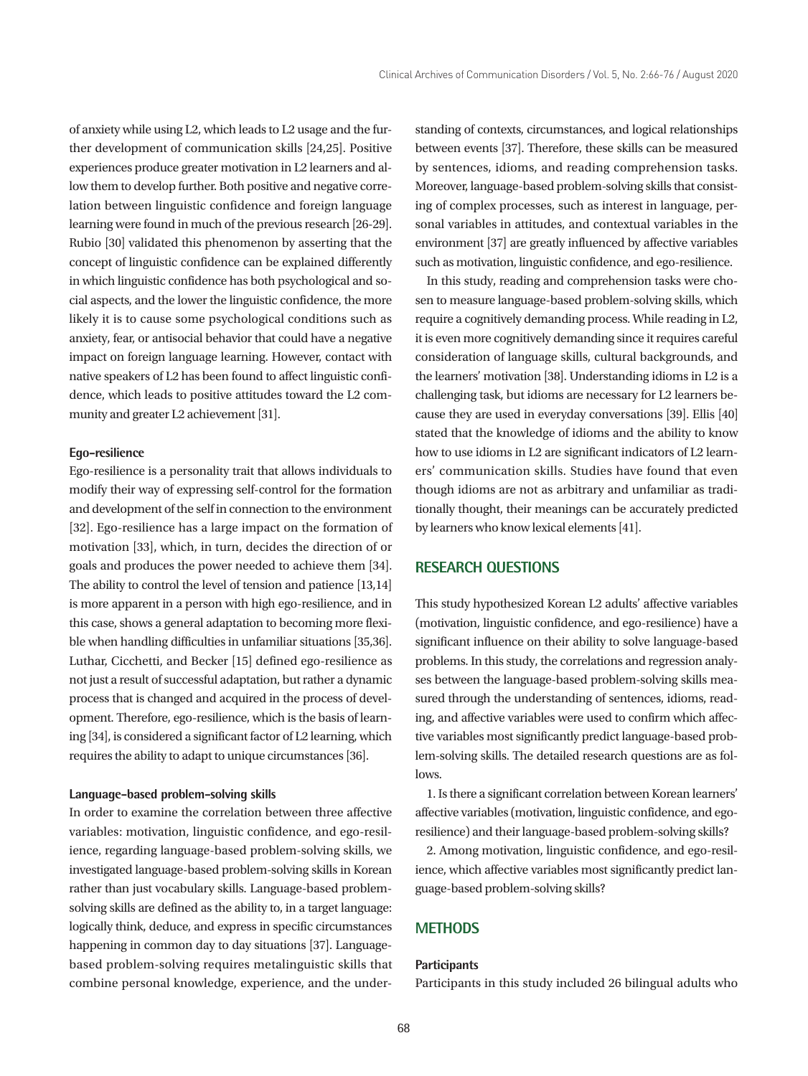of anxiety while using L2, which leads to L2 usage and the further development of communication skills [24,25]. Positive experiences produce greater motivation in L2 learners and allow them to develop further. Both positive and negative correlation between linguistic confidence and foreign language learning were found in much of the previous research [26-29]. Rubio [30] validated this phenomenon by asserting that the concept of linguistic confidence can be explained differently in which linguistic confidence has both psychological and social aspects, and the lower the linguistic confidence, the more likely it is to cause some psychological conditions such as anxiety, fear, or antisocial behavior that could have a negative impact on foreign language learning. However, contact with native speakers of L2 has been found to affect linguistic confidence, which leads to positive attitudes toward the L2 community and greater L2 achievement [31].

#### **Ego-resilience**

Ego-resilience is a personality trait that allows individuals to modify their way of expressing self-control for the formation and development of the self in connection to the environment [32]. Ego-resilience has a large impact on the formation of motivation [33], which, in turn, decides the direction of or goals and produces the power needed to achieve them [34]. The ability to control the level of tension and patience [13,14] is more apparent in a person with high ego-resilience, and in this case, shows a general adaptation to becoming more flexible when handling difficulties in unfamiliar situations [35,36]. Luthar, Cicchetti, and Becker [15] defined ego-resilience as not just a result of successful adaptation, but rather a dynamic process that is changed and acquired in the process of development. Therefore, ego-resilience, which is the basis of learning [34], is considered a significant factor of L2 learning, which requires the ability to adapt to unique circumstances [36].

#### **Language-based problem-solving skills**

In order to examine the correlation between three affective variables: motivation, linguistic confidence, and ego-resilience, regarding language-based problem-solving skills, we investigated language-based problem-solving skills in Korean rather than just vocabulary skills. Language-based problemsolving skills are defined as the ability to, in a target language: logically think, deduce, and express in specific circumstances happening in common day to day situations [37]. Languagebased problem-solving requires metalinguistic skills that combine personal knowledge, experience, and the understanding of contexts, circumstances, and logical relationships between events [37]. Therefore, these skills can be measured by sentences, idioms, and reading comprehension tasks. Moreover, language-based problem-solving skills that consisting of complex processes, such as interest in language, personal variables in attitudes, and contextual variables in the environment [37] are greatly influenced by affective variables such as motivation, linguistic confidence, and ego-resilience.

In this study, reading and comprehension tasks were chosen to measure language-based problem-solving skills, which require a cognitively demanding process. While reading in L2, it is even more cognitively demanding since it requires careful consideration of language skills, cultural backgrounds, and the learners' motivation [38]. Understanding idioms in L2 is a challenging task, but idioms are necessary for L2 learners because they are used in everyday conversations [39]. Ellis [40] stated that the knowledge of idioms and the ability to know how to use idioms in L2 are significant indicators of L2 learners' communication skills. Studies have found that even though idioms are not as arbitrary and unfamiliar as traditionally thought, their meanings can be accurately predicted by learners who know lexical elements [41].

## **RESEARCH QUESTIONS**

This study hypothesized Korean L2 adults' affective variables (motivation, linguistic confidence, and ego-resilience) have a significant influence on their ability to solve language-based problems. In this study, the correlations and regression analyses between the language-based problem-solving skills measured through the understanding of sentences, idioms, reading, and affective variables were used to confirm which affective variables most significantly predict language-based problem-solving skills. The detailed research questions are as follows.

1. Is there a significant correlation between Korean learners' affective variables (motivation, linguistic confidence, and egoresilience) and their language-based problem-solving skills?

2. Among motivation, linguistic confidence, and ego-resilience, which affective variables most significantly predict language-based problem-solving skills?

## **METHODS**

#### **Participants**

Participants in this study included 26 bilingual adults who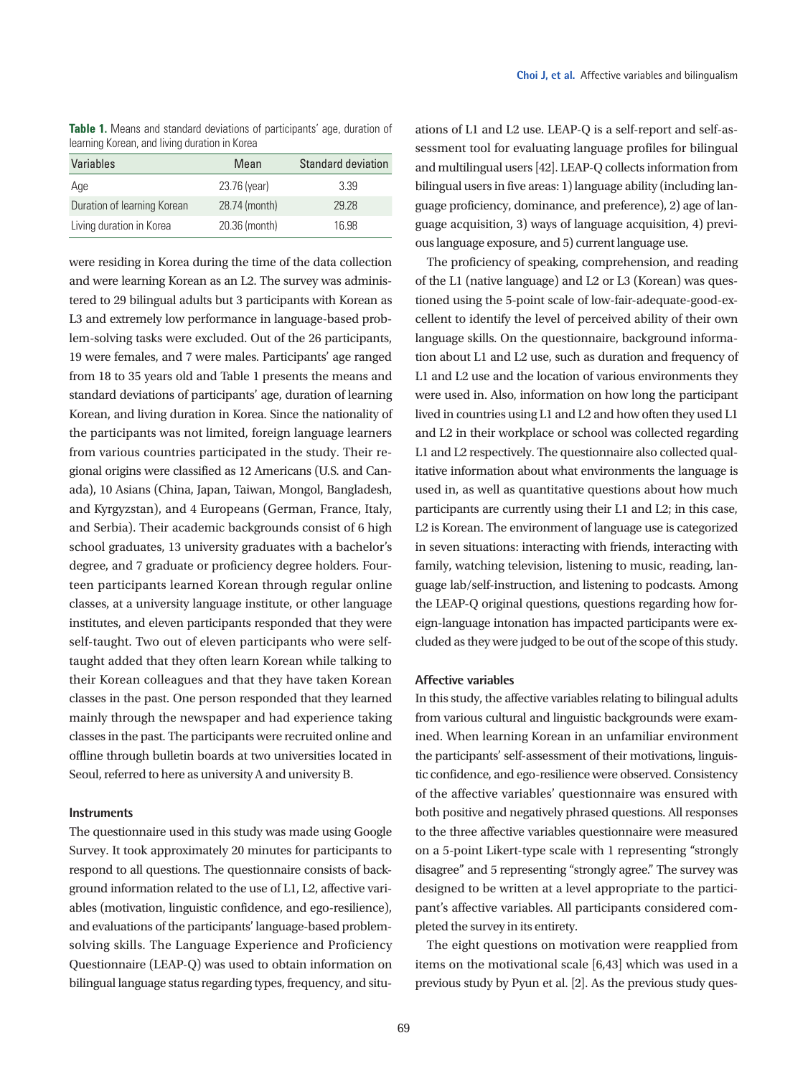**Table 1.** Means and standard deviations of participants' age, duration of learning Korean, and living duration in Korea

| Variables                   | Mean          | <b>Standard deviation</b> |
|-----------------------------|---------------|---------------------------|
| Age                         | 23.76 (year)  | 3.39                      |
| Duration of learning Korean | 28.74 (month) | 29.28                     |
| Living duration in Korea    | 20.36 (month) | 16.98                     |

were residing in Korea during the time of the data collection and were learning Korean as an L2. The survey was administered to 29 bilingual adults but 3 participants with Korean as L3 and extremely low performance in language-based problem-solving tasks were excluded. Out of the 26 participants, 19 were females, and 7 were males. Participants' age ranged from 18 to 35 years old and Table 1 presents the means and standard deviations of participants' age, duration of learning Korean, and living duration in Korea. Since the nationality of the participants was not limited, foreign language learners from various countries participated in the study. Their regional origins were classified as 12 Americans (U.S. and Canada), 10 Asians (China, Japan, Taiwan, Mongol, Bangladesh, and Kyrgyzstan), and 4 Europeans (German, France, Italy, and Serbia). Their academic backgrounds consist of 6 high school graduates, 13 university graduates with a bachelor's degree, and 7 graduate or proficiency degree holders. Fourteen participants learned Korean through regular online classes, at a university language institute, or other language institutes, and eleven participants responded that they were self-taught. Two out of eleven participants who were selftaught added that they often learn Korean while talking to their Korean colleagues and that they have taken Korean classes in the past. One person responded that they learned mainly through the newspaper and had experience taking classes in the past. The participants were recruited online and offline through bulletin boards at two universities located in Seoul, referred to here as university A and university B.

#### **Instruments**

The questionnaire used in this study was made using Google Survey. It took approximately 20 minutes for participants to respond to all questions. The questionnaire consists of background information related to the use of L1, L2, affective variables (motivation, linguistic confidence, and ego-resilience), and evaluations of the participants' language-based problemsolving skills. The Language Experience and Proficiency Questionnaire (LEAP-Q) was used to obtain information on bilingual language status regarding types, frequency, and situations of L1 and L2 use. LEAP-Q is a self-report and self-assessment tool for evaluating language profiles for bilingual and multilingual users [42]. LEAP-Q collects information from bilingual users in five areas: 1) language ability (including language proficiency, dominance, and preference), 2) age of language acquisition, 3) ways of language acquisition, 4) previous language exposure, and 5) current language use.

The proficiency of speaking, comprehension, and reading of the L1 (native language) and L2 or L3 (Korean) was questioned using the 5-point scale of low-fair-adequate-good-excellent to identify the level of perceived ability of their own language skills. On the questionnaire, background information about L1 and L2 use, such as duration and frequency of L1 and L2 use and the location of various environments they were used in. Also, information on how long the participant lived in countries using L1 and L2 and how often they used L1 and L2 in their workplace or school was collected regarding L1 and L2 respectively. The questionnaire also collected qualitative information about what environments the language is used in, as well as quantitative questions about how much participants are currently using their L1 and L2; in this case, L2 is Korean. The environment of language use is categorized in seven situations: interacting with friends, interacting with family, watching television, listening to music, reading, language lab/self-instruction, and listening to podcasts. Among the LEAP-Q original questions, questions regarding how foreign-language intonation has impacted participants were excluded as they were judged to be out of the scope of this study.

#### **Affective variables**

In this study, the affective variables relating to bilingual adults from various cultural and linguistic backgrounds were examined. When learning Korean in an unfamiliar environment the participants' self-assessment of their motivations, linguistic confidence, and ego-resilience were observed. Consistency of the affective variables' questionnaire was ensured with both positive and negatively phrased questions. All responses to the three affective variables questionnaire were measured on a 5-point Likert-type scale with 1 representing "strongly disagree" and 5 representing "strongly agree." The survey was designed to be written at a level appropriate to the participant's affective variables. All participants considered completed the survey in its entirety.

The eight questions on motivation were reapplied from items on the motivational scale [6,43] which was used in a previous study by Pyun et al. [2]. As the previous study ques-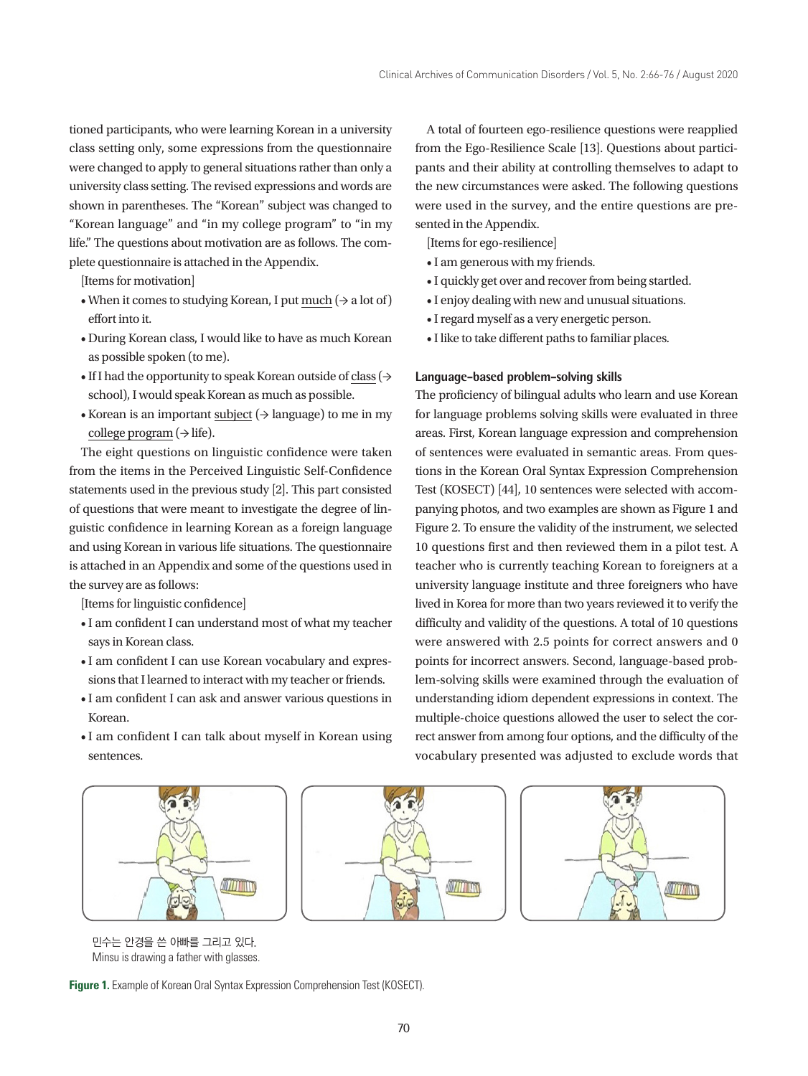• I quickly get over and recover from being startled. • I enjoy dealing with new and unusual situations. • I regard myself as a very energetic person. • I like to take different paths to familiar places.

The proficiency of bilingual adults who learn and use Korean for language problems solving skills were evaluated in three areas. First, Korean language expression and comprehension of sentences were evaluated in semantic areas. From questions in the Korean Oral Syntax Expression Comprehension Test (KOSECT) [44], 10 sentences were selected with accompanying photos, and two examples are shown as Figure 1 and Figure 2. To ensure the validity of the instrument, we selected 10 questions first and then reviewed them in a pilot test. A teacher who is currently teaching Korean to foreigners at a university language institute and three foreigners who have

**Language-based problem-solving skills**

sented in the Appendix. [Items for ego-resilience] • I am generous with my friends.

A total of fourteen ego-resilience questions were reapplied from the Ego-Resilience Scale [13]. Questions about participants and their ability at controlling themselves to adapt to the new circumstances were asked. The following questions were used in the survey, and the entire questions are pre-

tioned participants, who were learning Korean in a university class setting only, some expressions from the questionnaire were changed to apply to general situations rather than only a university class setting. The revised expressions and words are shown in parentheses. The "Korean" subject was changed to "Korean language" and "in my college program" to "in my life." The questions about motivation are as follows. The complete questionnaire is attached in the Appendix.

[Items for motivation]

- When it comes to studying Korean, I put much ( $\rightarrow$  a lot of) effort into it.
- During Korean class, I would like to have as much Korean as possible spoken (to me).
- If I had the opportunity to speak Korean outside of class ( $\rightarrow$ school), I would speak Korean as much as possible.
- Korean is an important subject  $(\rightarrow$  language) to me in my college program  $(\rightarrow$  life).

The eight questions on linguistic confidence were taken from the items in the Perceived Linguistic Self-Confidence statements used in the previous study [2]. This part consisted of questions that were meant to investigate the degree of linguistic confidence in learning Korean as a foreign language and using Korean in various life situations. The questionnaire is attached in an Appendix and some of the questions used in the survey are as follows:

[Items for linguistic confidence]

- I am confident I can understand most of what my teacher says in Korean class.
- I am confident I can use Korean vocabulary and expressions that I learned to interact with my teacher or friends.
- I am confident I can ask and answer various questions in Korean.
- I am confident I can talk about myself in Korean using sentences.

W ANTIQUE

민수는 안경을 쓴 아빠를 그리고 있다. Minsu is drawing a father with glasses.





vocabulary presented was adjusted to exclude words that



**Figure 1.** Example of Korean Oral Syntax Expression Comprehension Test (KOSECT).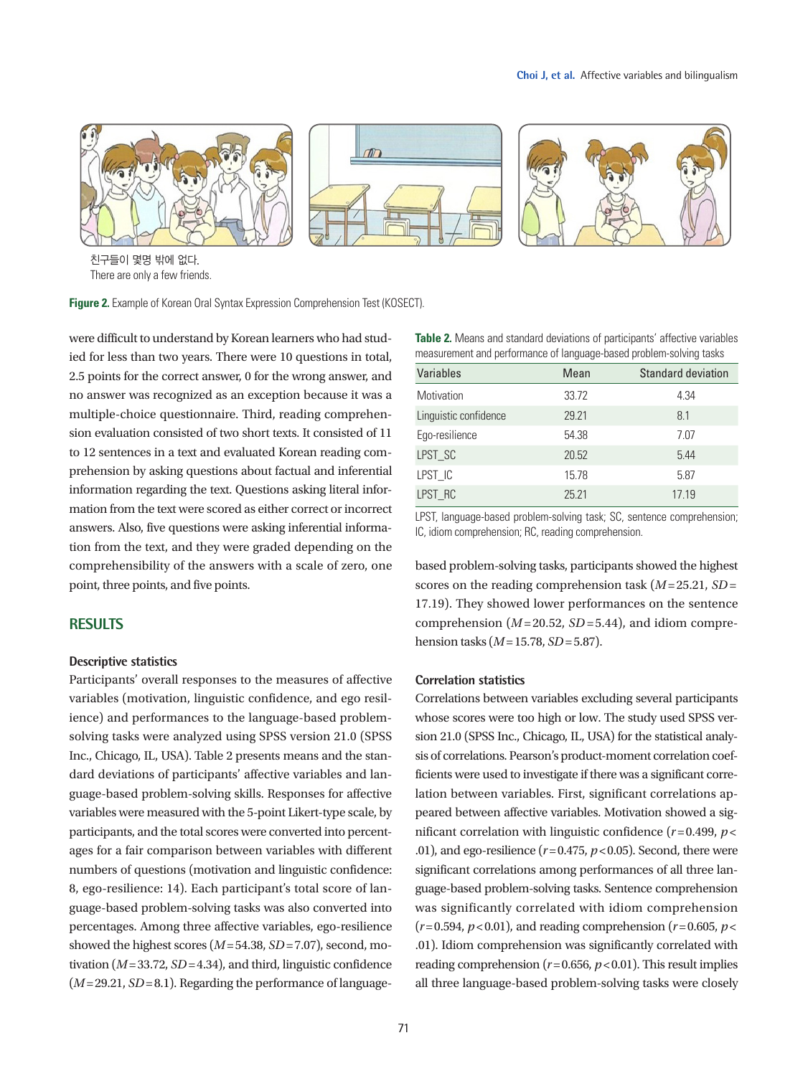

친구들이 몇명 밖에 없다. There are only a few friends.

**Figure 2.** Example of Korean Oral Syntax Expression Comprehension Test (KOSECT).

were difficult to understand by Korean learners who had studied for less than two years. There were 10 questions in total, 2.5 points for the correct answer, 0 for the wrong answer, and no answer was recognized as an exception because it was a multiple-choice questionnaire. Third, reading comprehension evaluation consisted of two short texts. It consisted of 11 to 12 sentences in a text and evaluated Korean reading comprehension by asking questions about factual and inferential information regarding the text. Questions asking literal information from the text were scored as either correct or incorrect answers. Also, five questions were asking inferential information from the text, and they were graded depending on the comprehensibility of the answers with a scale of zero, one point, three points, and five points.

## **RESULTS**

#### **Descriptive statistics**

Participants' overall responses to the measures of affective variables (motivation, linguistic confidence, and ego resilience) and performances to the language-based problemsolving tasks were analyzed using SPSS version 21.0 (SPSS Inc., Chicago, IL, USA). Table 2 presents means and the standard deviations of participants' affective variables and language-based problem-solving skills. Responses for affective variables were measured with the 5-point Likert-type scale, by participants, and the total scores were converted into percentages for a fair comparison between variables with different numbers of questions (motivation and linguistic confidence: 8, ego-resilience: 14). Each participant's total score of language-based problem-solving tasks was also converted into percentages. Among three affective variables, ego-resilience showed the highest scores (*M*= 54.38, *SD*= 7.07), second, motivation  $(M=33.72, SD=4.34)$ , and third, linguistic confidence  $(M= 29.21, SD = 8.1)$ . Regarding the performance of language**Table 2.** Means and standard deviations of participants' affective variables measurement and performance of language-based problem-solving tasks

| Variables             | Mean  | <b>Standard deviation</b> |
|-----------------------|-------|---------------------------|
| Motivation            | 33.72 | 4.34                      |
| Linguistic confidence | 29.21 | 8.1                       |
| Ego-resilience        | 54.38 | 7.07                      |
| LPST_SC               | 20.52 | 5.44                      |
| LPST_IC               | 15.78 | 5.87                      |
| LPST_RC               | 25.21 | 17.19                     |

LPST, language-based problem-solving task; SC, sentence comprehension; IC, idiom comprehension; RC, reading comprehension.

based problem-solving tasks, participants showed the highest scores on the reading comprehension task (*M*= 25.21, *SD*= 17.19). They showed lower performances on the sentence comprehension  $(M=20.52, SD=5.44)$ , and idiom comprehension tasks (*M*= 15.78, *SD*= 5.87).

#### **Correlation statistics**

Correlations between variables excluding several participants whose scores were too high or low. The study used SPSS version 21.0 (SPSS Inc., Chicago, IL, USA) for the statistical analysis of correlations. Pearson's product-moment correlation coefficients were used to investigate if there was a significant correlation between variables. First, significant correlations appeared between affective variables. Motivation showed a significant correlation with linguistic confidence  $(r=0.499, p<$ .01), and ego-resilience  $(r=0.475, p<0.05)$ . Second, there were significant correlations among performances of all three language-based problem-solving tasks. Sentence comprehension was significantly correlated with idiom comprehension  $(r=0.594, p<0.01)$ , and reading comprehension  $(r=0.605, p<0.01)$ .01). Idiom comprehension was significantly correlated with reading comprehension  $(r=0.656, p<0.01)$ . This result implies all three language-based problem-solving tasks were closely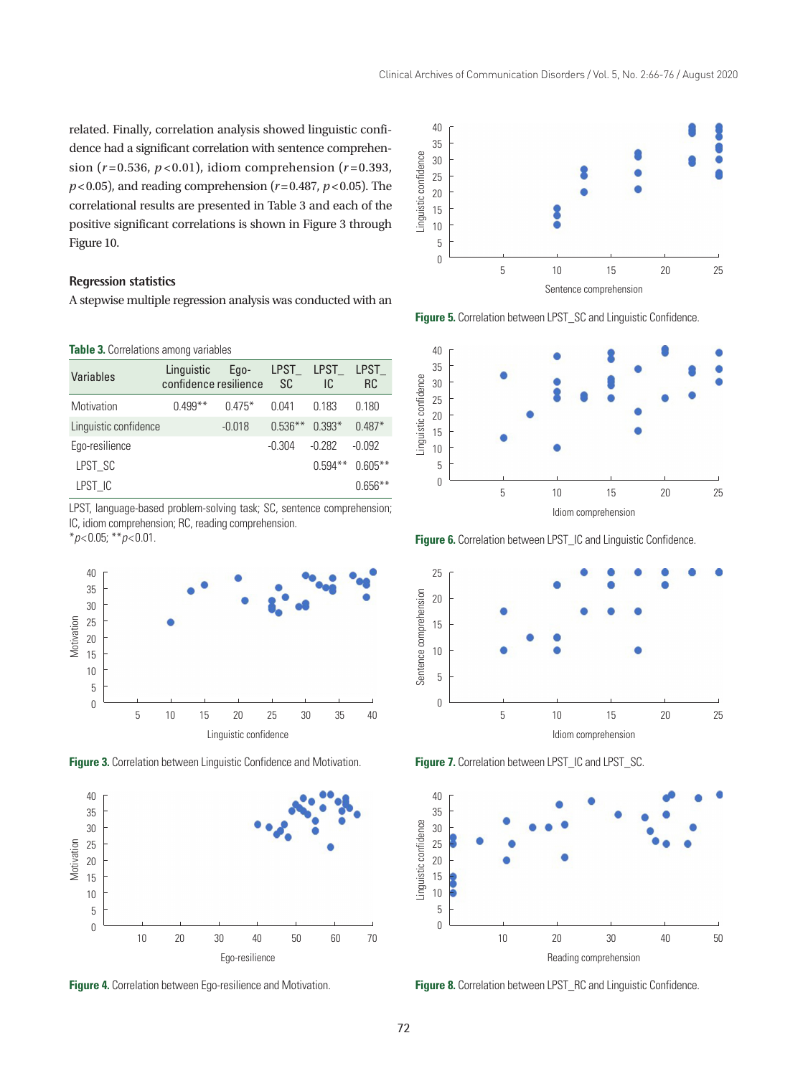related. Finally, correlation analysis showed linguistic confidence had a significant correlation with sentence comprehension ( $r = 0.536$ ,  $p < 0.01$ ), idiom comprehension ( $r = 0.393$ ,  $p$ <0.05), and reading comprehension ( $r$ =0.487,  $p$ <0.05). The correlational results are presented in Table 3 and each of the positive significant correlations is shown in Figure 3 through Figure 10.

## **Regression statistics**

A stepwise multiple regression analysis was conducted with an

**Table 3.** Correlations among variables

| Variables             | Linguistic<br>confidence resilience | Ego-     | LPST<br>SC | LPST<br>IC | LPST<br>RC |
|-----------------------|-------------------------------------|----------|------------|------------|------------|
| Motivation            | $0.499***$                          | $0.475*$ | በ በ41      | 0.183      | 0.180      |
| Linguistic confidence |                                     | $-0.018$ | $0.536**$  | $0.393*$   | $0.487*$   |
| Ego-resilience        |                                     |          | $-0.304$   | $-0.282$   | -N 0.92    |
| LPST SC               |                                     |          |            | $0.594**$  | $0.605**$  |
| LPST IC               |                                     |          |            |            | $0.656**$  |

LPST, language-based problem-solving task; SC, sentence comprehension; IC, idiom comprehension; RC, reading comprehension.

\**p*<0.05; \*\**p*<0.01.



**Figure 3.** Correlation between Linguistic Confidence and Motivation.



**Figure 4.** Correlation between Ego-resilience and Motivation.



**Figure 5.** Correlation between LPST\_SC and Linguistic Confidence.



**Figure 6.** Correlation between LPST\_IC and Linguistic Confidence.



**Figure 7.** Correlation between LPST\_IC and LPST\_SC.



**Figure 8.** Correlation between LPST\_RC and Linguistic Confidence.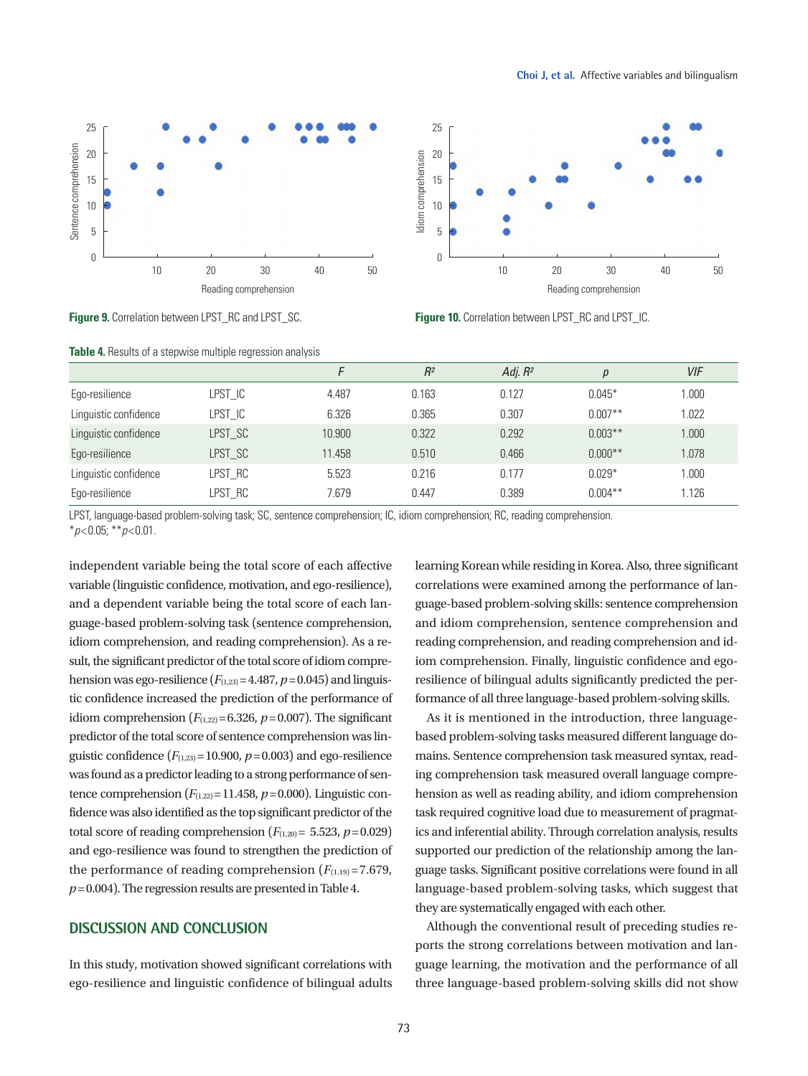



**Figure 9.** Correlation between LPST\_RC and LPST\_SC.

**Table 4.** Results of a stepwise multiple regression analysis

**Figure 10.** Correlation between LPST\_RC and LPST\_IC.

|                       |         |        | $R^2$ | Adj. $R^2$ | р          | <b>VIF</b> |
|-----------------------|---------|--------|-------|------------|------------|------------|
| Ego-resilience        | LPST IC | 4.487  | 0.163 | 0.127      | $0.045*$   | 1.000      |
| Linguistic confidence | LPST_IC | 6.326  | 0.365 | 0.307      | $0.007**$  | 1.022      |
| Linguistic confidence | LPST_SC | 10.900 | 0.322 | 0.292      | $0.003***$ | 1.000      |
| Ego-resilience        | LPST_SC | 11.458 | 0.510 | 0.466      | $0.000**$  | 1.078      |
| Linguistic confidence | LPST RC | 5.523  | 0.216 | 0.177      | $0.029*$   | 1.000      |
| Ego-resilience        | LPST_RC | 7.679  | 0.447 | 0.389      | $0.004***$ | 1.126      |

LPST, language-based problem-solving task; SC, sentence comprehension; IC, idiom comprehension; RC, reading comprehension. \**p*<0.05; \*\**p*<0.01.

independent variable being the total score of each affective variable (linguistic confidence, motivation, and ego-resilience), and a dependent variable being the total score of each language-based problem-solving task (sentence comprehension, idiom comprehension, and reading comprehension). As a result, the significant predictor of the total score of idiom comprehension was ego-resilience  $(F_{(1,23)}=4.487, p=0.045)$  and linguistic confidence increased the prediction of the performance of idiom comprehension  $(F_{(1,22)}=6.326, p=0.007)$ . The significant predictor of the total score of sentence comprehension was linguistic confidence  $(F_{(1,23)}=10.900, p=0.003)$  and ego-resilience was found as a predictor leading to a strong performance of sentence comprehension  $(F_{(1,22)}=11.458, p=0.000)$ . Linguistic confidence was also identified as the top significant predictor of the total score of reading comprehension  $(F_{(1,20)}= 5.523, p=0.029)$ and ego-resilience was found to strengthen the prediction of the performance of reading comprehension  $(F_{(1,19)}=7.679)$ , *p*=0.004). The regression results are presented in Table 4.

#### **DISCUSSION AND CONCLUSION**

In this study, motivation showed significant correlations with ego-resilience and linguistic confidence of bilingual adults learning Korean while residing in Korea. Also, three significant correlations were examined among the performance of language-based problem-solving skills: sentence comprehension and idiom comprehension, sentence comprehension and reading comprehension, and reading comprehension and idiom comprehension. Finally, linguistic confidence and egoresilience of bilingual adults significantly predicted the performance of all three language-based problem-solving skills.

As it is mentioned in the introduction, three languagebased problem-solving tasks measured different language domains. Sentence comprehension task measured syntax, reading comprehension task measured overall language comprehension as well as reading ability, and idiom comprehension task required cognitive load due to measurement of pragmatics and inferential ability. Through correlation analysis, results supported our prediction of the relationship among the language tasks. Significant positive correlations were found in all language-based problem-solving tasks, which suggest that they are systematically engaged with each other.

Although the conventional result of preceding studies reports the strong correlations between motivation and language learning, the motivation and the performance of all three language-based problem-solving skills did not show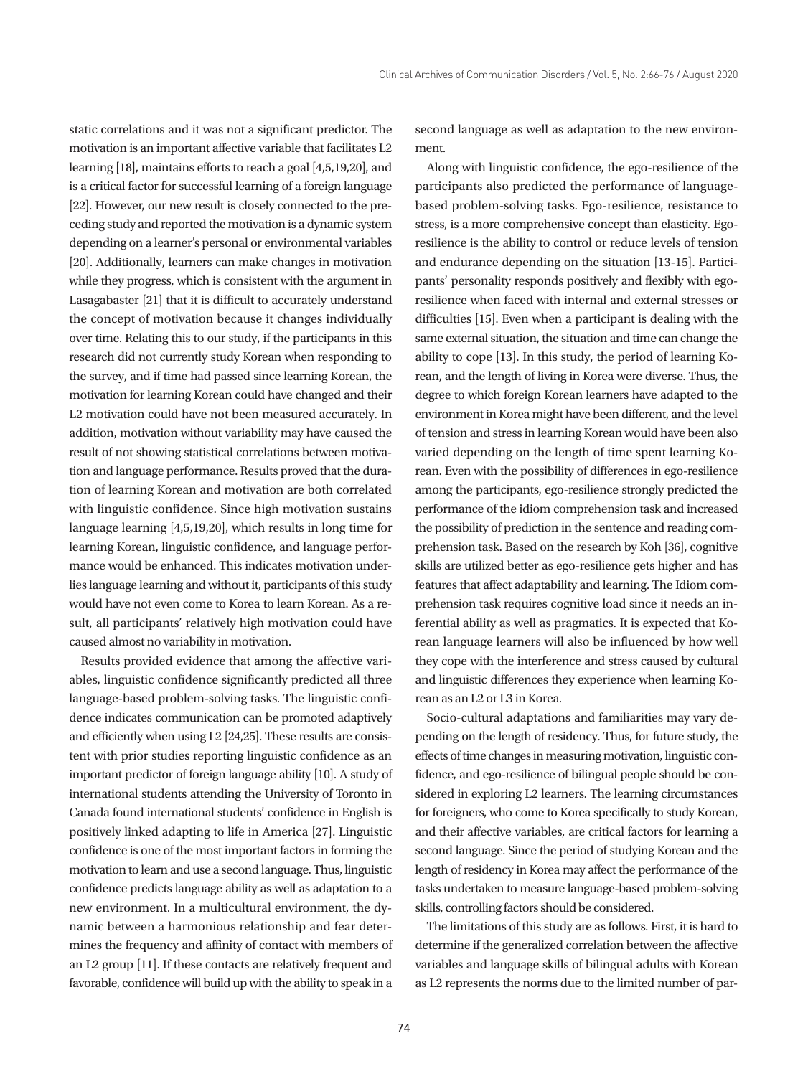static correlations and it was not a significant predictor. The motivation is an important affective variable that facilitates L2 learning [18], maintains efforts to reach a goal [4,5,19,20], and is a critical factor for successful learning of a foreign language [22]. However, our new result is closely connected to the preceding study and reported the motivation is a dynamic system depending on a learner's personal or environmental variables [20]. Additionally, learners can make changes in motivation while they progress, which is consistent with the argument in Lasagabaster [21] that it is difficult to accurately understand the concept of motivation because it changes individually over time. Relating this to our study, if the participants in this research did not currently study Korean when responding to the survey, and if time had passed since learning Korean, the motivation for learning Korean could have changed and their L2 motivation could have not been measured accurately. In addition, motivation without variability may have caused the result of not showing statistical correlations between motivation and language performance. Results proved that the duration of learning Korean and motivation are both correlated with linguistic confidence. Since high motivation sustains language learning [4,5,19,20], which results in long time for learning Korean, linguistic confidence, and language performance would be enhanced. This indicates motivation underlies language learning and without it, participants of this study would have not even come to Korea to learn Korean. As a result, all participants' relatively high motivation could have caused almost no variability in motivation.

Results provided evidence that among the affective variables, linguistic confidence significantly predicted all three language-based problem-solving tasks. The linguistic confidence indicates communication can be promoted adaptively and efficiently when using L2 [24,25]. These results are consistent with prior studies reporting linguistic confidence as an important predictor of foreign language ability [10]. A study of international students attending the University of Toronto in Canada found international students' confidence in English is positively linked adapting to life in America [27]. Linguistic confidence is one of the most important factors in forming the motivation to learn and use a second language. Thus, linguistic confidence predicts language ability as well as adaptation to a new environment. In a multicultural environment, the dynamic between a harmonious relationship and fear determines the frequency and affinity of contact with members of an L2 group [11]. If these contacts are relatively frequent and favorable, confidence will build up with the ability to speak in a

second language as well as adaptation to the new environment.

Along with linguistic confidence, the ego-resilience of the participants also predicted the performance of languagebased problem-solving tasks. Ego-resilience, resistance to stress, is a more comprehensive concept than elasticity. Egoresilience is the ability to control or reduce levels of tension and endurance depending on the situation [13-15]. Participants' personality responds positively and flexibly with egoresilience when faced with internal and external stresses or difficulties [15]. Even when a participant is dealing with the same external situation, the situation and time can change the ability to cope [13]. In this study, the period of learning Korean, and the length of living in Korea were diverse. Thus, the degree to which foreign Korean learners have adapted to the environment in Korea might have been different, and the level of tension and stress in learning Korean would have been also varied depending on the length of time spent learning Korean. Even with the possibility of differences in ego-resilience among the participants, ego-resilience strongly predicted the performance of the idiom comprehension task and increased the possibility of prediction in the sentence and reading comprehension task. Based on the research by Koh [36], cognitive skills are utilized better as ego-resilience gets higher and has features that affect adaptability and learning. The Idiom comprehension task requires cognitive load since it needs an inferential ability as well as pragmatics. It is expected that Korean language learners will also be influenced by how well they cope with the interference and stress caused by cultural and linguistic differences they experience when learning Korean as an L2 or L3 in Korea.

Socio-cultural adaptations and familiarities may vary depending on the length of residency. Thus, for future study, the effects of time changes in measuring motivation, linguistic confidence, and ego-resilience of bilingual people should be considered in exploring L2 learners. The learning circumstances for foreigners, who come to Korea specifically to study Korean, and their affective variables, are critical factors for learning a second language. Since the period of studying Korean and the length of residency in Korea may affect the performance of the tasks undertaken to measure language-based problem-solving skills, controlling factors should be considered.

The limitations of this study are as follows. First, it is hard to determine if the generalized correlation between the affective variables and language skills of bilingual adults with Korean as L2 represents the norms due to the limited number of par-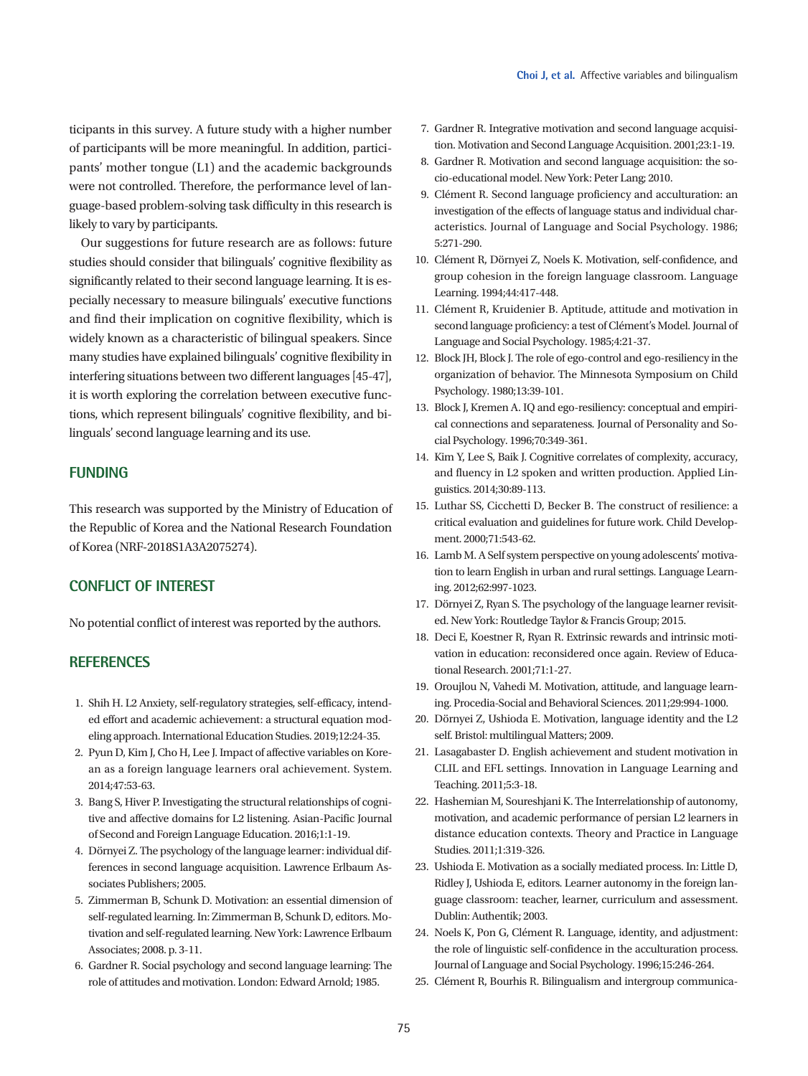ticipants in this survey. A future study with a higher number of participants will be more meaningful. In addition, participants' mother tongue (L1) and the academic backgrounds were not controlled. Therefore, the performance level of language-based problem-solving task difficulty in this research is likely to vary by participants.

Our suggestions for future research are as follows: future studies should consider that bilinguals' cognitive flexibility as significantly related to their second language learning. It is especially necessary to measure bilinguals' executive functions and find their implication on cognitive flexibility, which is widely known as a characteristic of bilingual speakers. Since many studies have explained bilinguals' cognitive flexibility in interfering situations between two different languages [45-47], it is worth exploring the correlation between executive functions, which represent bilinguals' cognitive flexibility, and bilinguals' second language learning and its use.

## **FUNDING**

This research was supported by the Ministry of Education of the Republic of Korea and the National Research Foundation of Korea (NRF-2018S1A3A2075274).

## **CONFLICT OF INTEREST**

No potential conflict of interest was reported by the authors.

## **REFERENCES**

- 1. Shih H. L2 Anxiety, self-regulatory strategies, self-efficacy, intended effort and academic achievement: a structural equation modeling approach. International Education Studies. 2019;12:24-35.
- 2. Pyun D, Kim J, Cho H, Lee J. Impact of affective variables on Korean as a foreign language learners oral achievement. System. 2014;47:53-63.
- 3. Bang S, Hiver P. Investigating the structural relationships of cognitive and affective domains for L2 listening. Asian-Pacific Journal of Second and Foreign Language Education. 2016;1:1-19.
- 4. Dörnyei Z. The psychology of the language learner: individual differences in second language acquisition. Lawrence Erlbaum Associates Publishers; 2005.
- 5. Zimmerman B, Schunk D. Motivation: an essential dimension of self-regulated learning. In: Zimmerman B, Schunk D, editors. Motivation and self-regulated learning. New York: Lawrence Erlbaum Associates; 2008. p. 3-11.
- 6. Gardner R. Social psychology and second language learning: The role of attitudes and motivation. London: Edward Arnold; 1985.
- 7. Gardner R. Integrative motivation and second language acquisition. Motivation and Second Language Acquisition. 2001;23:1-19.
- 8. Gardner R. Motivation and second language acquisition: the socio-educational model. New York: Peter Lang; 2010.
- 9. Clément R. Second language proficiency and acculturation: an investigation of the effects of language status and individual characteristics. Journal of Language and Social Psychology. 1986; 5:271-290.
- 10. Clément R, Dörnyei Z, Noels K. Motivation, self-confidence, and group cohesion in the foreign language classroom. Language Learning. 1994;44:417-448.
- 11. Clément R, Kruidenier B. Aptitude, attitude and motivation in second language proficiency: a test of Clément's Model. Journal of Language and Social Psychology. 1985;4:21-37.
- 12. Block JH, Block J. The role of ego-control and ego-resiliency in the organization of behavior. The Minnesota Symposium on Child Psychology. 1980;13:39-101.
- 13. Block J, Kremen A. IQ and ego-resiliency: conceptual and empirical connections and separateness. Journal of Personality and Social Psychology. 1996;70:349-361.
- 14. Kim Y, Lee S, Baik J. Cognitive correlates of complexity, accuracy, and fluency in L2 spoken and written production. Applied Linguistics. 2014;30:89-113.
- 15. Luthar SS, Cicchetti D, Becker B. The construct of resilience: a critical evaluation and guidelines for future work. Child Development. 2000;71:543-62.
- 16. Lamb M. A Self system perspective on young adolescents' motivation to learn English in urban and rural settings. Language Learning. 2012;62:997-1023.
- 17. Dörnyei Z, Ryan S. The psychology of the language learner revisited. New York: Routledge Taylor & Francis Group; 2015.
- 18. Deci E, Koestner R, Ryan R. Extrinsic rewards and intrinsic motivation in education: reconsidered once again. Review of Educational Research. 2001;71:1-27.
- 19. Oroujlou N, Vahedi M. Motivation, attitude, and language learning. Procedia-Social and Behavioral Sciences. 2011;29:994-1000.
- 20. Dörnyei Z, Ushioda E. Motivation, language identity and the L2 self. Bristol: multilingual Matters; 2009.
- 21. Lasagabaster D. English achievement and student motivation in CLIL and EFL settings. Innovation in Language Learning and Teaching. 2011;5:3-18.
- 22. Hashemian M, Soureshjani K. The Interrelationship of autonomy, motivation, and academic performance of persian L2 learners in distance education contexts. Theory and Practice in Language Studies. 2011;1:319-326.
- 23. Ushioda E. Motivation as a socially mediated process. In: Little D, Ridley J, Ushioda E, editors. Learner autonomy in the foreign language classroom: teacher, learner, curriculum and assessment. Dublin: Authentik; 2003.
- 24. Noels K, Pon G, Clément R. Language, identity, and adjustment: the role of linguistic self-confidence in the acculturation process. Journal of Language and Social Psychology. 1996;15:246-264.
- 25. Clément R, Bourhis R. Bilingualism and intergroup communica-